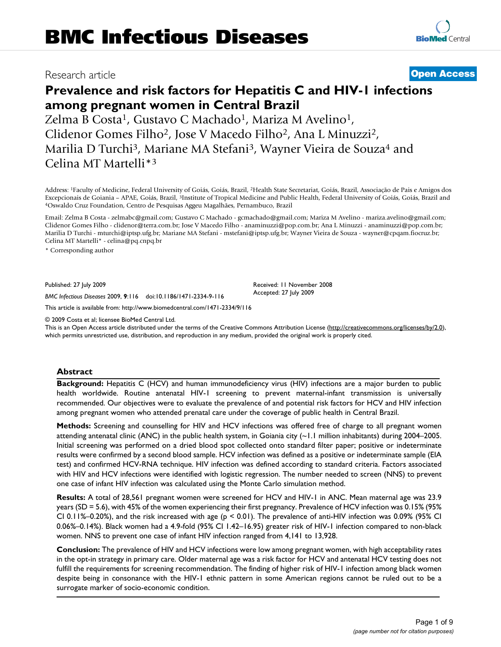## Research article **[Open Access](http://www.biomedcentral.com/info/about/charter/)**

# **Prevalence and risk factors for Hepatitis C and HIV-1 infections among pregnant women in Central Brazil**

Zelma B Costa<sup>1</sup>, Gustavo C Machado<sup>1</sup>, Mariza M Avelino<sup>1</sup>, Clidenor Gomes Filho2, Jose V Macedo Filho2, Ana L Minuzzi2, Marilia D Turchi<sup>3</sup>, Mariane MA Stefani<sup>3</sup>, Wayner Vieira de Souza<sup>4</sup> and Celina MT Martelli\*3

Address: 1Faculty of Medicine, Federal University of Goiás, Goiás, Brazil, 2Health State Secretariat, Goiás, Brazil, Associação de Pais e Amigos dos Excepcionais de Goiania - APAE, Goiás, Brazil, <sup>3</sup>Institute of Tropical Medicine and Public Health, Federal University of Goiás, Goiás, Brazil and 4Oswaldo Cruz Foundation, Centro de Pesquisas Aggeu Magalhães, Pernambuco,

Email: Zelma B Costa - zelmabc@gmail.com; Gustavo C Machado - gcmachado@gmail.com; Mariza M Avelino - mariza.avelino@gmail.com; Clidenor Gomes Filho - clidenor@terra.com.br; Jose V Macedo Filho - anaminuzzi@pop.com.br; Ana L Minuzzi - anaminuzzi@pop.com.br; Marilia D Turchi - mturchi@iptsp.ufg.br; Mariane MA Stefani - mstefani@iptsp.ufg.br; Wayner Vieira de Souza - wayner@cpqam.fiocruz.br; Celina MT Martelli\* - celina@pq.cnpq.br

\* Corresponding author

Published: 27 July 2009

Received: 11 November 2008 Accepted: 27 July 2009

[This article is available from: http://www.biomedcentral.com/1471-2334/9/116](http://www.biomedcentral.com/1471-2334/9/116)

*BMC Infectious Diseases* 2009, **9**:116 doi:10.1186/1471-2334-9-116

© 2009 Costa et al; licensee BioMed Central Ltd.

This is an Open Access article distributed under the terms of the Creative Commons Attribution License [\(http://creativecommons.org/licenses/by/2.0\)](http://creativecommons.org/licenses/by/2.0), which permits unrestricted use, distribution, and reproduction in any medium, provided the original work is properly cited.

#### **Abstract**

**Background:** Hepatitis C (HCV) and human immunodeficiency virus (HIV) infections are a major burden to public health worldwide. Routine antenatal HIV-1 screening to prevent maternal-infant transmission is universally recommended. Our objectives were to evaluate the prevalence of and potential risk factors for HCV and HIV infection among pregnant women who attended prenatal care under the coverage of public health in Central Brazil.

**Methods:** Screening and counselling for HIV and HCV infections was offered free of charge to all pregnant women attending antenatal clinic (ANC) in the public health system, in Goiania city (~1.1 million inhabitants) during 2004–2005. Initial screening was performed on a dried blood spot collected onto standard filter paper; positive or indeterminate results were confirmed by a second blood sample. HCV infection was defined as a positive or indeterminate sample (EIA test) and confirmed HCV-RNA technique. HIV infection was defined according to standard criteria. Factors associated with HIV and HCV infections were identified with logistic regression. The number needed to screen (NNS) to prevent one case of infant HIV infection was calculated using the Monte Carlo simulation method.

**Results:** A total of 28,561 pregnant women were screened for HCV and HIV-1 in ANC. Mean maternal age was 23.9 years (SD = 5.6), with 45% of the women experiencing their first pregnancy. Prevalence of HCV infection was 0.15% (95% CI 0.11%–0.20%), and the risk increased with age ( $p < 0.01$ ). The prevalence of anti-HIV infection was 0.09% (95% CI 0.06%–0.14%). Black women had a 4.9-fold (95% CI 1.42–16.95) greater risk of HIV-1 infection compared to non-black women. NNS to prevent one case of infant HIV infection ranged from 4,141 to 13,928.

**Conclusion:** The prevalence of HIV and HCV infections were low among pregnant women, with high acceptability rates in the opt-in strategy in primary care. Older maternal age was a risk factor for HCV and antenatal HCV testing does not fulfill the requirements for screening recommendation. The finding of higher risk of HIV-1 infection among black women despite being in consonance with the HIV-1 ethnic pattern in some American regions cannot be ruled out to be a surrogate marker of socio-economic condition.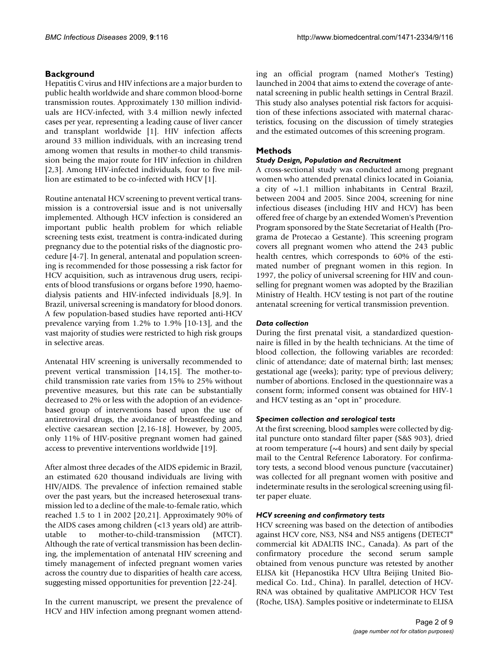### **Background**

Hepatitis C virus and HIV infections are a major burden to public health worldwide and share common blood-borne transmission routes. Approximately 130 million individuals are HCV-infected, with 3.4 million newly infected cases per year, representing a leading cause of liver cancer and transplant worldwide [1]. HIV infection affects around 33 million individuals, with an increasing trend among women that results in mother-to child transmission being the major route for HIV infection in children [2,3]. Among HIV-infected individuals, four to five million are estimated to be co-infected with HCV [1].

Routine antenatal HCV screening to prevent vertical transmission is a controversial issue and is not universally implemented. Although HCV infection is considered an important public health problem for which reliable screening tests exist, treatment is contra-indicated during pregnancy due to the potential risks of the diagnostic procedure [4-7]. In general, antenatal and population screening is recommended for those possessing a risk factor for HCV acquisition, such as intravenous drug users, recipients of blood transfusions or organs before 1990, haemodialysis patients and HIV-infected individuals [8,9]. In Brazil, universal screening is mandatory for blood donors. A few population-based studies have reported anti-HCV prevalence varying from 1.2% to 1.9% [10-13], and the vast majority of studies were restricted to high risk groups in selective areas.

Antenatal HIV screening is universally recommended to prevent vertical transmission [14,15]. The mother-tochild transmission rate varies from 15% to 25% without preventive measures, but this rate can be substantially decreased to 2% or less with the adoption of an evidencebased group of interventions based upon the use of antiretroviral drugs, the avoidance of breastfeeding and elective caesarean section [2,16-18]. However, by 2005, only 11% of HIV-positive pregnant women had gained access to preventive interventions worldwide [19].

After almost three decades of the AIDS epidemic in Brazil, an estimated 620 thousand individuals are living with HIV/AIDS. The prevalence of infection remained stable over the past years, but the increased heterosexual transmission led to a decline of the male-to-female ratio, which reached 1.5 to 1 in 2002 [20,21]. Approximately 90% of the AIDS cases among children (<13 years old) are attributable to mother-to-child-transmission (MTCT). Although the rate of vertical transmission has been declining, the implementation of antenatal HIV screening and timely management of infected pregnant women varies across the country due to disparities of health care access, suggesting missed opportunities for prevention [22-24].

In the current manuscript, we present the prevalence of HCV and HIV infection among pregnant women attending an official program (named Mother's Testing) launched in 2004 that aims to extend the coverage of antenatal screening in public health settings in Central Brazil. This study also analyses potential risk factors for acquisition of these infections associated with maternal characteristics, focusing on the discussion of timely strategies and the estimated outcomes of this screening program.

### **Methods**

#### *Study Design, Population and Recruitment*

A cross-sectional study was conducted among pregnant women who attended prenatal clinics located in Goiania, a city of  $\sim$ 1.1 million inhabitants in Central Brazil, between 2004 and 2005. Since 2004, screening for nine infectious diseases (including HIV and HCV) has been offered free of charge by an extended Women's Prevention Program sponsored by the State Secretariat of Health (Programa de Protecao a Gestante). This screening program covers all pregnant women who attend the 243 public health centres, which corresponds to 60% of the estimated number of pregnant women in this region. In 1997, the policy of universal screening for HIV and counselling for pregnant women was adopted by the Brazilian Ministry of Health. HCV testing is not part of the routine antenatal screening for vertical transmission prevention.

#### *Data collection*

During the first prenatal visit, a standardized questionnaire is filled in by the health technicians. At the time of blood collection, the following variables are recorded: clinic of attendance; date of maternal birth; last menses; gestational age (weeks); parity; type of previous delivery; number of abortions. Enclosed in the questionnaire was a consent form; informed consent was obtained for HIV-1 and HCV testing as an "opt in" procedure.

#### *Specimen collection and serological tests*

At the first screening, blood samples were collected by digital puncture onto standard filter paper (S&S 903), dried at room temperature ( $\sim$ 4 hours) and sent daily by special mail to the Central Reference Laboratory. For confirmatory tests, a second blood venous puncture (vaccutainer) was collected for all pregnant women with positive and indeterminate results in the serological screening using filter paper eluate.

#### *HCV screening and confirmatory tests*

HCV screening was based on the detection of antibodies against HCV core, NS3, NS4 and NS5 antigens (DETECT® commercial kit ADALTIS INC., Canada). As part of the confirmatory procedure the second serum sample obtained from venous puncture was retested by another ELISA kit (Hepanostika HCV Ultra Beijing United Biomedical Co. Ltd., China). In parallel, detection of HCV-RNA was obtained by qualitative AMPLICOR HCV Test (Roche, USA). Samples positive or indeterminate to ELISA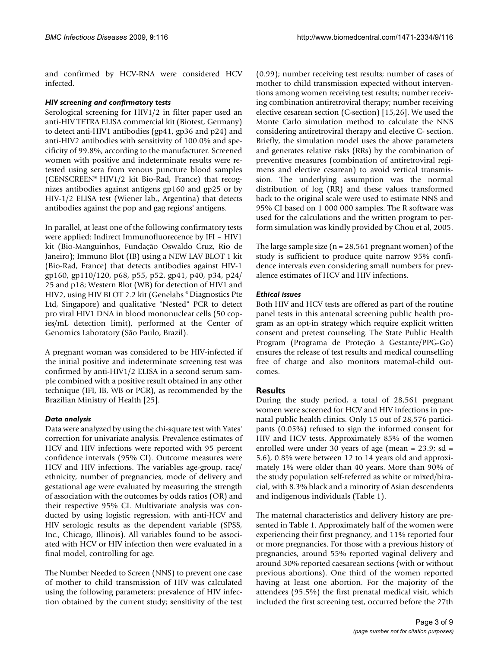and confirmed by HCV-RNA were considered HCV infected.

#### *HIV screening and confirmatory tests*

Serological screening for HIV1/2 in filter paper used an anti-HIV TETRA ELISA commercial kit (Biotest, Germany) to detect anti-HIV1 antibodies (gp41, gp36 and p24) and anti-HIV2 antibodies with sensitivity of 100.0% and specificity of 99.8%, according to the manufacturer. Screened women with positive and indeterminate results were retested using sera from venous puncture blood samples (GENSCREEN® HIV1/2 kit Bio-Rad, France) that recognizes antibodies against antigens gp160 and gp25 or by HIV-1/2 ELISA test (Wiener lab., Argentina) that detects antibodies against the pop and gag regions' antigens.

In parallel, at least one of the following confirmatory tests were applied: Indirect Immunofluorecence by IFI – HIV1 kit (Bio-Manguinhos, Fundação Oswaldo Cruz, Rio de Janeiro); Immuno Blot (IB) using a NEW LAV BLOT 1 kit (Bio-Rad, France) that detects antibodies against HIV-1 gp160, gp110/120, p68, p55, p52, gp41, p40, p34, p24/ 25 and p18; Western Blot (WB) for detection of HIV1 and HIV2, using HIV BLOT 2.2 kit (Genelabs ® Diagnostics Pte Ltd, Singapore) and qualitative "Nested" PCR to detect pro viral HIV1 DNA in blood mononuclear cells (50 copies/mL detection limit), performed at the Center of Genomics Laboratory (São Paulo, Brazil).

A pregnant woman was considered to be HIV-infected if the initial positive and indeterminate screening test was confirmed by anti-HIV1/2 ELISA in a second serum sample combined with a positive result obtained in any other technique (IFI, IB, WB or PCR), as recommended by the Brazilian Ministry of Health [25].

#### *Data analysis*

Data were analyzed by using the chi-square test with Yates' correction for univariate analysis. Prevalence estimates of HCV and HIV infections were reported with 95 percent confidence intervals (95% CI). Outcome measures were HCV and HIV infections. The variables age-group, race/ ethnicity, number of pregnancies, mode of delivery and gestational age were evaluated by measuring the strength of association with the outcomes by odds ratios (OR) and their respective 95% CI. Multivariate analysis was conducted by using logistic regression, with anti-HCV and HIV serologic results as the dependent variable (SPSS, Inc., Chicago, Illinois). All variables found to be associated with HCV or HIV infection then were evaluated in a final model, controlling for age.

The Number Needed to Screen (NNS) to prevent one case of mother to child transmission of HIV was calculated using the following parameters: prevalence of HIV infection obtained by the current study; sensitivity of the test (0.99); number receiving test results; number of cases of mother to child transmission expected without interventions among women receiving test results; number receiving combination antiretroviral therapy; number receiving elective cesarean section (C-section) [15,26]. We used the Monte Carlo simulation method to calculate the NNS considering antiretroviral therapy and elective C- section. Briefly, the simulation model uses the above parameters and generates relative risks (RRs) by the combination of preventive measures (combination of antiretroviral regimens and elective cesarean) to avoid vertical transmission. The underlying assumption was the normal distribution of log (RR) and these values transformed back to the original scale were used to estimate NNS and 95% CI based on 1 000 000 samples. The R software was used for the calculations and the written program to perform simulation was kindly provided by Chou et al, 2005.

The large sample size ( $n = 28,561$  pregnant women) of the study is sufficient to produce quite narrow 95% confidence intervals even considering small numbers for prevalence estimates of HCV and HIV infections.

#### *Ethical issues*

Both HIV and HCV tests are offered as part of the routine panel tests in this antenatal screening public health program as an opt-in strategy which require explicit written consent and pretest counseling. The State Public Health Program (Programa de Proteção à Gestante/PPG-Go) ensures the release of test results and medical counselling free of charge and also monitors maternal-child outcomes.

#### **Results**

During the study period, a total of 28,561 pregnant women were screened for HCV and HIV infections in prenatal public health clinics. Only 15 out of 28,576 participants (0.05%) refused to sign the informed consent for HIV and HCV tests. Approximately 85% of the women enrolled were under 30 years of age (mean = 23.9; sd = 5.6), 0.8% were between 12 to 14 years old and approximately 1% were older than 40 years. More than 90% of the study population self-referred as white or mixed/biracial, with 8.3% black and a minority of Asian descendents and indigenous individuals (Table 1).

The maternal characteristics and delivery history are presented in Table 1. Approximately half of the women were experiencing their first pregnancy, and 11% reported four or more pregnancies. For those with a previous history of pregnancies, around 55% reported vaginal delivery and around 30% reported caesarean sections (with or without previous abortions). One third of the women reported having at least one abortion. For the majority of the attendees (95.5%) the first prenatal medical visit, which included the first screening test, occurred before the 27th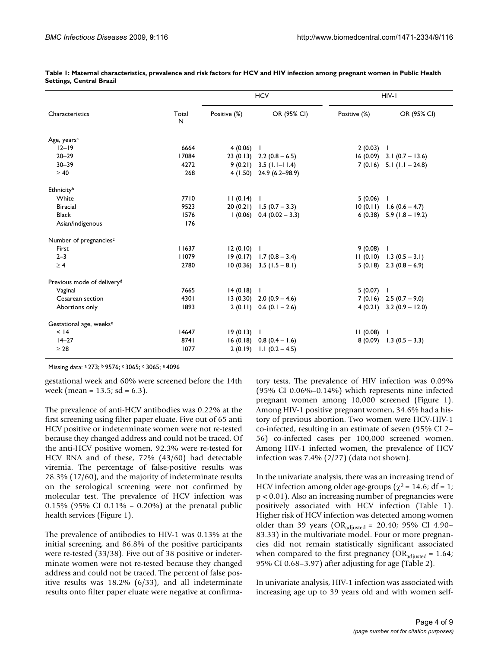| Characteristics                        | Total<br>N | <b>HCV</b>   |                              | HIV-I        |                               |
|----------------------------------------|------------|--------------|------------------------------|--------------|-------------------------------|
|                                        |            | Positive (%) | OR (95% CI)                  | Positive (%) | OR (95% CI)                   |
| Age, years <sup>a</sup>                |            |              |                              |              |                               |
| $12 - 19$                              | 6664       | 4(0.06)      | J.                           | $2(0.03)$ 1  |                               |
| $20 - 29$                              | 17084      |              | 23 (0.13) 2.2 (0.8 – 6.5)    |              | $16(0.09)$ 3.1 $(0.7 - 13.6)$ |
| $30 - 39$                              | 4272       |              | $9(0.21)$ 3.5 (1.1-11.4)     |              | $7(0.16)$ 5.1 $(1.1 - 24.8)$  |
| $\geq 40$                              | 268        |              | $4(1.50)$ 24.9 (6.2-98.9)    |              |                               |
| Ethnicityb                             |            |              |                              |              |                               |
| White                                  | 7710       | 11(0.14)     | $\mathbf{I}$                 | 5(0.06)      | $\mathbf{I}$                  |
| <b>Biracial</b>                        | 9523       |              | 20 (0.21) $1.5$ (0.7 – 3.3)  |              | $10(0.11)$ 1.6 $(0.6 - 4.7)$  |
| <b>Black</b>                           | 1576       |              | $1(0.06)$ 0.4 $(0.02 - 3.3)$ |              | 6 (0.38) $5.9$ (1.8 - 19.2)   |
| Asian/indigenous                       | 176        |              |                              |              |                               |
| Number of pregnancies <sup>c</sup>     |            |              |                              |              |                               |
| First                                  | 11637      | 12(0.10)     | $\mathbf{I}$                 | 9(0.08)      | $\blacksquare$                |
| $2 - 3$                                | 11079      |              | $19(0.17)$ 1.7 $(0.8 - 3.4)$ |              | $11(0.10)$ 1.3 $(0.5 - 3.1)$  |
| $\geq 4$                               | 2780       |              | $10(0.36)$ 3.5 $(1.5 - 8.1)$ |              | $5(0.18)$ 2.3 $(0.8 - 6.9)$   |
| Previous mode of delivery <sup>d</sup> |            |              |                              |              |                               |
| Vaginal                                | 7665       | 14(0.18)     | -1                           | 5(0.07)      | - 1                           |
| Cesarean section                       | 4301       |              | $13(0.30)$ 2.0 $(0.9 - 4.6)$ |              | $7(0.16)$ 2.5 $(0.7 - 9.0)$   |
| Abortions only                         | 1893       |              | $2(0.11)$ 0.6 $(0.1 - 2.6)$  |              | $4(0.21)$ 3.2 $(0.9 - 12.0)$  |
| Gestational age, weeks <sup>e</sup>    |            |              |                              |              |                               |
| < 14                                   | 14647      | 19(0.13)     | $\mathbf{I}$                 | $11(0.08)$ 1 |                               |
| $14 - 27$                              | 8741       |              | $16(0.18) 0.8(0.4 - 1.6)$    |              | $8(0.09)$ 1.3 $(0.5 - 3.3)$   |
| $\geq 28$                              | 1077       |              | $2(0.19)$ 1.1 $(0.2 - 4.5)$  |              |                               |

| Table 1: Maternal characteristics, prevalence and risk factors for HCV and HIV infection among pregnant women in Public Health |  |
|--------------------------------------------------------------------------------------------------------------------------------|--|
| <b>Settings, Central Brazil</b>                                                                                                |  |

Missing data: a 273; b 9576; c 3065; d 3065; e 4096

gestational week and 60% were screened before the 14th week (mean =  $13.5$ ; sd =  $6.3$ ).

The prevalence of anti-HCV antibodies was 0.22% at the first screening using filter paper eluate. Five out of 65 anti HCV positive or indeterminate women were not re-tested because they changed address and could not be traced. Of the anti-HCV positive women, 92.3% were re-tested for HCV RNA and of these, 72% (43/60) had detectable viremia. The percentage of false-positive results was 28.3% (17/60), and the majority of indeterminate results on the serological screening were not confirmed by molecular test. The prevalence of HCV infection was 0.15% (95% CI 0.11% – 0.20%) at the prenatal public health services (Figure 1).

The prevalence of antibodies to HIV-1 was 0.13% at the initial screening, and 86.8% of the positive participants were re-tested (33/38). Five out of 38 positive or indeterminate women were not re-tested because they changed address and could not be traced. The percent of false positive results was 18.2% (6/33), and all indeterminate results onto filter paper eluate were negative at confirmatory tests. The prevalence of HIV infection was 0.09% (95% CI 0.06%–0.14%) which represents nine infected pregnant women among 10,000 screened (Figure 1). Among HIV-1 positive pregnant women, 34.6% had a history of previous abortion. Two women were HCV-HIV-1 co-infected, resulting in an estimate of seven (95% CI 2– 56) co-infected cases per 100,000 screened women. Among HIV-1 infected women, the prevalence of HCV infection was 7.4% (2/27) (data not shown).

In the univariate analysis, there was an increasing trend of HCV infection among older age-groups ( $\chi^2$  = 14.6; df = 1; p < 0.01). Also an increasing number of pregnancies were positively associated with HCV infection (Table 1). Higher risk of HCV infection was detected among women older than 39 years (OR<sub>adiusted</sub> = 20.40; 95% CI 4.90– 83.33) in the multivariate model. Four or more pregnancies did not remain statistically significant associated when compared to the first pregnancy ( $OR_{adjusted} = 1.64$ ; 95% CI 0.68–3.97) after adjusting for age (Table 2).

In univariate analysis, HIV-1 infection was associated with increasing age up to 39 years old and with women self-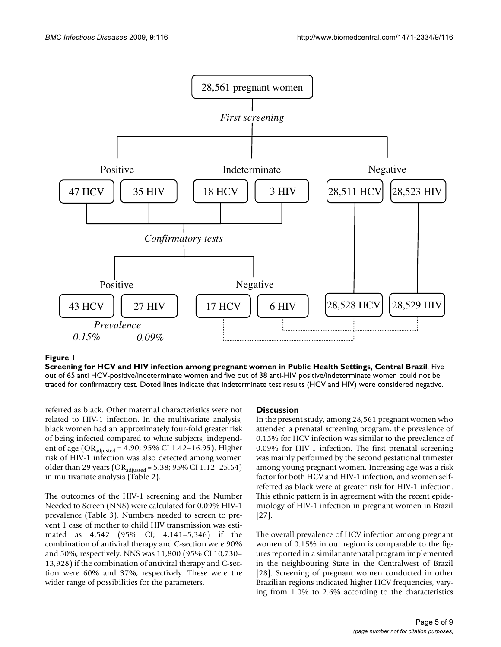

#### Screening for HCV and HIV infection among pregnant **Figure 1** women in Public Health Settings, Central Brazil

**Screening for HCV and HIV infection among pregnant women in Public Health Settings, Central Brazil**. Five out of 65 anti HCV-positive/indeterminate women and five out of 38 anti-HIV positive/indeterminate women could not be traced for confirmatory test. Doted lines indicate that indeterminate test results (HCV and HIV) were considered negative.

referred as black. Other maternal characteristics were not related to HIV-1 infection. In the multivariate analysis, black women had an approximately four-fold greater risk of being infected compared to white subjects, independent of age (OR<sub>adjusted</sub> = 4.90; 95% CI 1.42-16.95). Higher risk of HIV-1 infection was also detected among women older than 29 years (OR<sub>adjusted</sub> = 5.38; 95% CI 1.12-25.64) in multivariate analysis (Table 2).

The outcomes of the HIV-1 screening and the Number Needed to Screen (NNS) were calculated for 0.09% HIV-1 prevalence (Table 3). Numbers needed to screen to prevent 1 case of mother to child HIV transmission was estimated as 4,542 (95% CI; 4,141–5,346) if the combination of antiviral therapy and C-section were 90% and 50%, respectively. NNS was 11,800 (95% CI 10,730– 13,928) if the combination of antiviral therapy and C-section were 60% and 37%, respectively. These were the wider range of possibilities for the parameters.

#### **Discussion**

In the present study, among 28,561 pregnant women who attended a prenatal screening program, the prevalence of 0.15% for HCV infection was similar to the prevalence of 0.09% for HIV-1 infection. The first prenatal screening was mainly performed by the second gestational trimester among young pregnant women. Increasing age was a risk factor for both HCV and HIV-1 infection, and women selfreferred as black were at greater risk for HIV-1 infection. This ethnic pattern is in agreement with the recent epidemiology of HIV-1 infection in pregnant women in Brazil [27].

The overall prevalence of HCV infection among pregnant women of 0.15% in our region is comparable to the figures reported in a similar antenatal program implemented in the neighbouring State in the Centralwest of Brazil [28]. Screening of pregnant women conducted in other Brazilian regions indicated higher HCV frequencies, varying from 1.0% to 2.6% according to the characteristics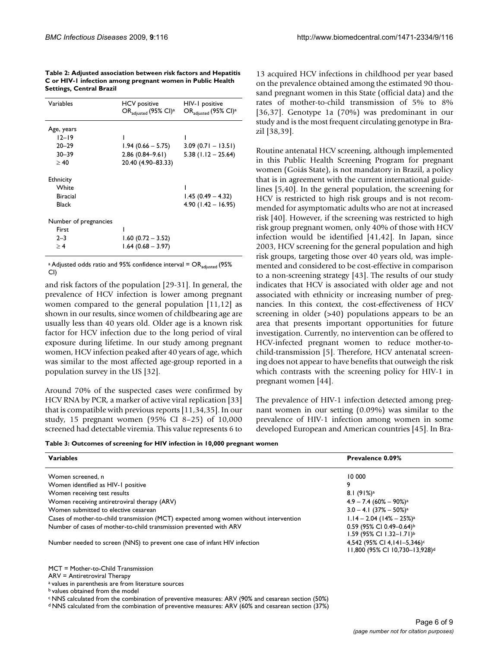| Variables             | <b>HCV</b> positive<br>$OR_{adjusted}$ (95% CI) <sup>a</sup> | HIV-1 positive<br>OR <sub>adjusted</sub> (95% CI) <sup>a</sup> |
|-----------------------|--------------------------------------------------------------|----------------------------------------------------------------|
| Age, years            |                                                              |                                                                |
| $12 - 19$             |                                                              |                                                                |
| $20 - 29$             | $1.94(0.66 - 5.75)$                                          | $3.09(0.71 - 13.51)$                                           |
| $30 - 39$             | $2.86(0.84 - 9.61)$                                          | $5.38$ (1.12 – 25.64)                                          |
| > 40                  | 20.40 (4.90-83.33)                                           |                                                                |
| <b>Ethnicity</b>      |                                                              |                                                                |
| White                 |                                                              |                                                                |
| <b>Biracial</b>       |                                                              | $1.45(0.49 - 4.32)$                                            |
| Black                 |                                                              | $4.90(1.42 - 16.95)$                                           |
| Number of pregnancies |                                                              |                                                                |
| First                 |                                                              |                                                                |
| $2 - 3$               | $1.60(0.72 - 3.52)$                                          |                                                                |
| > 4                   | $1.64(0.68 - 3.97)$                                          |                                                                |

**Table 2: Adjusted association between risk factors and Hepatitis C or HIV-1 infection among pregnant women in Public Health Settings, Central Brazil**

a Adjusted odds ratio and 95% confidence interval =  $OR_{adjusted}$  (95% CI)

and risk factors of the population [29-31]. In general, the prevalence of HCV infection is lower among pregnant women compared to the general population [11,12] as shown in our results, since women of childbearing age are usually less than 40 years old. Older age is a known risk factor for HCV infection due to the long period of viral exposure during lifetime. In our study among pregnant women, HCV infection peaked after 40 years of age, which was similar to the most affected age-group reported in a population survey in the US [32].

Around 70% of the suspected cases were confirmed by HCV RNA by PCR, a marker of active viral replication [33] that is compatible with previous reports [11,34,35]. In our study, 15 pregnant women (95% CI 8–25) of 10,000 screened had detectable viremia. This value represents 6 to

13 acquired HCV infections in childhood per year based on the prevalence obtained among the estimated 90 thousand pregnant women in this State (official data) and the rates of mother-to-child transmission of 5% to 8% [36,37]. Genotype 1a (70%) was predominant in our study and is the most frequent circulating genotype in Brazil [38,39].

Routine antenatal HCV screening, although implemented in this Public Health Screening Program for pregnant women (Goiás State), is not mandatory in Brazil, a policy that is in agreement with the current international guidelines [5,40]. In the general population, the screening for HCV is restricted to high risk groups and is not recommended for asymptomatic adults who are not at increased risk [40]. However, if the screening was restricted to high risk group pregnant women, only 40% of those with HCV infection would be identified [41,42]. In Japan, since 2003, HCV screening for the general population and high risk groups, targeting those over 40 years old, was implemented and considered to be cost-effective in comparison to a non-screening strategy [43]. The results of our study indicates that HCV is associated with older age and not associated with ethnicity or increasing number of pregnancies. In this context, the cost-effectiveness of HCV screening in older (>40) populations appears to be an area that presents important opportunities for future investigation. Currently, no intervention can be offered to HCV-infected pregnant women to reduce mother-tochild-transmission [5]. Therefore, HCV antenatal screening does not appear to have benefits that outweigh the risk which contrasts with the screening policy for HIV-1 in pregnant women [44].

The prevalence of HIV-1 infection detected among pregnant women in our setting (0.09%) was similar to the prevalence of HIV-1 infection among women in some developed European and American countries [45]. In Bra-

**Table 3: Outcomes of screening for HIV infection in 10,000 pregnant women**

| <b>Variables</b>                                                                      | Prevalence 0.09%                           |  |
|---------------------------------------------------------------------------------------|--------------------------------------------|--|
|                                                                                       |                                            |  |
| Women screened, n                                                                     | 10 000                                     |  |
| Women identified as HIV-1 positive                                                    | 9                                          |  |
| Women receiving test results                                                          | 8.1(91%) <sup>a</sup>                      |  |
| Women receiving antiretroviral therapy (ARV)                                          | $4.9 - 7.4 (60\% - 90\%)$ <sup>a</sup>     |  |
| Women submitted to elective cesarean                                                  | $3.0 - 4.1$ (37% - 50%) <sup>a</sup>       |  |
| Cases of mother-to-child transmission (MCT) expected among women without intervention | $1.14 - 2.04$ (14% – 25%) <sup>a</sup>     |  |
| Number of cases of mother-to-child transmission prevented with ARV                    | 0.59 (95% CI 0.49-0.64) <sup>b</sup>       |  |
|                                                                                       | $1.59$ (95% CI 1.32-1.71) <sup>b</sup>     |  |
| Number needed to screen (NNS) to prevent one case of infant HIV infection             | 4,542 (95% CI 4,141-5,346) <sup>c</sup>    |  |
|                                                                                       | 11,800 (95% CI 10,730-13,928) <sup>d</sup> |  |
|                                                                                       |                                            |  |

MCT = Mother-to-Child Transmission

ARV = Antiretroviral Therapy

a values in parenthesis are from literature sources

b values obtained from the model

c NNS calculated from the combination of preventive measures: ARV (90% and cesarean section (50%)

d NNS calculated from the combination of preventive measures: ARV (60% and cesarean section (37%)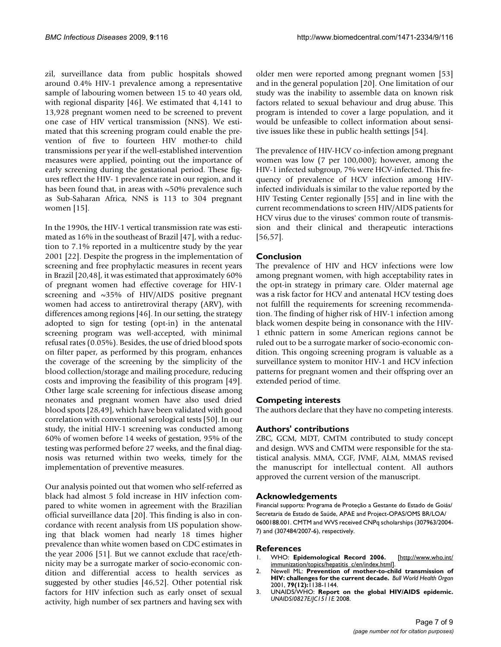zil, surveillance data from public hospitals showed around 0.4% HIV-1 prevalence among a representative sample of labouring women between 15 to 40 years old, with regional disparity [46]. We estimated that 4,141 to 13,928 pregnant women need to be screened to prevent one case of HIV vertical transmission (NNS). We estimated that this screening program could enable the prevention of five to fourteen HIV mother-to child transmissions per year if the well-established intervention measures were applied, pointing out the importance of early screening during the gestational period. These figures reflect the HIV- 1 prevalence rate in our region, and it has been found that, in areas with  $\sim$ 50% prevalence such as Sub-Saharan Africa, NNS is 113 to 304 pregnant women [15].

In the 1990s, the HIV-1 vertical transmission rate was estimated as 16% in the southeast of Brazil [47], with a reduction to 7.1% reported in a multicentre study by the year 2001 [22]. Despite the progress in the implementation of screening and free prophylactic measures in recent years in Brazil [20,48], it was estimated that approximately 60% of pregnant women had effective coverage for HIV-1 screening and ~35% of HIV/AIDS positive pregnant women had access to antiretroviral therapy (ARV), with differences among regions [46]. In our setting, the strategy adopted to sign for testing (opt-in) in the antenatal screening program was well-accepted, with minimal refusal rates (0.05%). Besides, the use of dried blood spots on filter paper, as performed by this program, enhances the coverage of the screening by the simplicity of the blood collection/storage and mailing procedure, reducing costs and improving the feasibility of this program [49]. Other large scale screening for infectious disease among neonates and pregnant women have also used dried blood spots [28,49], which have been validated with good correlation with conventional serological tests [50]. In our study, the initial HIV-1 screening was conducted among 60% of women before 14 weeks of gestation, 95% of the testing was performed before 27 weeks, and the final diagnosis was returned within two weeks, timely for the implementation of preventive measures.

Our analysis pointed out that women who self-referred as black had almost 5 fold increase in HIV infection compared to white women in agreement with the Brazilian official surveillance data [20]. This finding is also in concordance with recent analysis from US population showing that black women had nearly 18 times higher prevalence than white women based on CDC estimates in the year 2006 [51]. But we cannot exclude that race/ethnicity may be a surrogate marker of socio-economic condition and differential access to health services as suggested by other studies [46,52]. Other potential risk factors for HIV infection such as early onset of sexual activity, high number of sex partners and having sex with

older men were reported among pregnant women [53] and in the general population [20]. One limitation of our study was the inability to assemble data on known risk factors related to sexual behaviour and drug abuse. This program is intended to cover a large population, and it would be unfeasible to collect information about sensitive issues like these in public health settings [54].

The prevalence of HIV-HCV co-infection among pregnant women was low (7 per 100,000); however, among the HIV-1 infected subgroup, 7% were HCV-infected. This frequency of prevalence of HCV infection among HIVinfected individuals is similar to the value reported by the HIV Testing Center regionally [55] and in line with the current recommendations to screen HIV/AIDS patients for HCV virus due to the viruses' common route of transmission and their clinical and therapeutic interactions [56,57].

#### **Conclusion**

The prevalence of HIV and HCV infections were low among pregnant women, with high acceptability rates in the opt-in strategy in primary care. Older maternal age was a risk factor for HCV and antenatal HCV testing does not fulfill the requirements for screening recommendation. The finding of higher risk of HIV-1 infection among black women despite being in consonance with the HIV-1 ethnic pattern in some American regions cannot be ruled out to be a surrogate marker of socio-economic condition. This ongoing screening program is valuable as a surveillance system to monitor HIV-1 and HCV infection patterns for pregnant women and their offspring over an extended period of time.

#### **Competing interests**

The authors declare that they have no competing interests.

#### **Authors' contributions**

ZBC, GCM, MDT, CMTM contributed to study concept and design. WVS and CMTM were responsible for the statistical analysis. MMA, CGF, JVMF, ALM, MMAS revised the manuscript for intellectual content. All authors approved the current version of the manuscript.

#### **Acknowledgements**

Financial supports: Programa de Proteção a Gestante do Estado de Goiás/ Secretaria de Estado de Saúde, APAE and Project-OPAS/OMS BR/LOA/ 0600188.001. CMTM and WVS received CNPq scholarships (307963/2004- 7) and (307484/2007-6), respectively.

#### **References**

- 1. WHO: **Epidemological Record 2006.** [[http://www.who.int/](http://www.who.int/immunization/topics/hepatitis_c/en/index.html) [immunization/topics/hepatitis\\_c/en/index.html](http://www.who.int/immunization/topics/hepatitis_c/en/index.html)].
- 2. Newell ML: **[Prevention of mother-to-child transmission of](http://www.ncbi.nlm.nih.gov/entrez/query.fcgi?cmd=Retrieve&db=PubMed&dopt=Abstract&list_uids=11799446) [HIV: challenges for the current decade.](http://www.ncbi.nlm.nih.gov/entrez/query.fcgi?cmd=Retrieve&db=PubMed&dopt=Abstract&list_uids=11799446)** *Bull World Health Organ* 2001, **79(12):**1138-1144.
- 3. UNAIDS/WHO: **Report on the global HIV/AIDS epidemic.** *UNAIDS/0827E/JC1511E* 2008.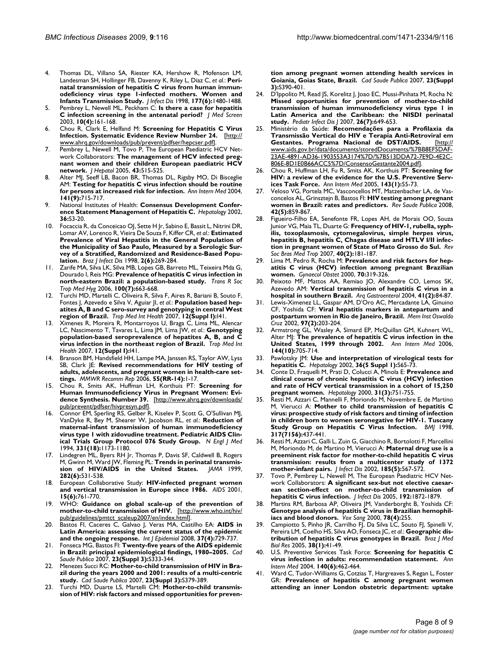- 4. Thomas DL, Villano SA, Riester KA, Hershow R, Mofenson LM, Landesman SH, Hollinger FB, Davenny K, Riley L, Diaz C, *et al.*: **[Peri](http://www.ncbi.nlm.nih.gov/entrez/query.fcgi?cmd=Retrieve&db=PubMed&dopt=Abstract&list_uids=9607823)[natal transmission of hepatitis C virus from human immun](http://www.ncbi.nlm.nih.gov/entrez/query.fcgi?cmd=Retrieve&db=PubMed&dopt=Abstract&list_uids=9607823)odeficiency virus type 1-infected mothers. Women and [Infants Transmission Study.](http://www.ncbi.nlm.nih.gov/entrez/query.fcgi?cmd=Retrieve&db=PubMed&dopt=Abstract&list_uids=9607823)** *J Infect Dis* 1998, **177(6):**1480-1488.
- 5. Pembrey L, Newell ML, Peckham C: **[Is there a case for hepatitis](http://www.ncbi.nlm.nih.gov/entrez/query.fcgi?cmd=Retrieve&db=PubMed&dopt=Abstract&list_uids=14738651) [C infection screening in the antenatal period?](http://www.ncbi.nlm.nih.gov/entrez/query.fcgi?cmd=Retrieve&db=PubMed&dopt=Abstract&list_uids=14738651)** *J Med Screen* 2003, **10(4):**161-168.
- 6. Chou R, Clark E, Helfand M: **Screening for Hepatitis C Virus Infection. Systematic Evidence Review Number 24.** [[http://](http://www.ahrq.gov/downloads/pub/prevent/pdfser/hepcser.pdf) [www.ahrq.gov/downloads/pub/prevent/pdfser/hepcser.pdf](http://www.ahrq.gov/downloads/pub/prevent/pdfser/hepcser.pdf)].
- Pembrey L, Newell M, Tovo P, The European Paediatric HCV Network Collaborators: **[The management of HCV infected preg](http://www.ncbi.nlm.nih.gov/entrez/query.fcgi?cmd=Retrieve&db=PubMed&dopt=Abstract&list_uids=16144064)[nant women and their children European paediatric HCV](http://www.ncbi.nlm.nih.gov/entrez/query.fcgi?cmd=Retrieve&db=PubMed&dopt=Abstract&list_uids=16144064) [network.](http://www.ncbi.nlm.nih.gov/entrez/query.fcgi?cmd=Retrieve&db=PubMed&dopt=Abstract&list_uids=16144064)** *J Hepatol* 2005, **43:**515-525.
- 8. Alter MJ, Seeff LB, Bacon BR, Thomas DL, Rigsby MO, Di Bisceglie AM: **[Testing for hepatitis C virus infection should be routine](http://www.ncbi.nlm.nih.gov/entrez/query.fcgi?cmd=Retrieve&db=PubMed&dopt=Abstract&list_uids=15520428) [for persons at increased risk for infection.](http://www.ncbi.nlm.nih.gov/entrez/query.fcgi?cmd=Retrieve&db=PubMed&dopt=Abstract&list_uids=15520428)** *Ann Intern Med* 2004, **141(9):**715-717.
- 9. National Institutes of Health: **[Consensus Development Confer](http://www.ncbi.nlm.nih.gov/entrez/query.fcgi?cmd=Retrieve&db=PubMed&dopt=Abstract&list_uids=12407572)[ence Statement Management of Hepatitis C.](http://www.ncbi.nlm.nih.gov/entrez/query.fcgi?cmd=Retrieve&db=PubMed&dopt=Abstract&list_uids=12407572)** *Hepatology* 2002, **36:**S3-20.
- 10. Focaccia R, da Conceicao OJ, Sette H Jr, Sabino E, Bassit L, Nitrini DR, Lomar AV, Lorenco R, Vieira De Souza F, Kiffer CR, *et al.*: **[Estimated](http://www.ncbi.nlm.nih.gov/entrez/query.fcgi?cmd=Retrieve&db=PubMed&dopt=Abstract&list_uids=11103019) [Prevalence of Viral Hepatitis in the General Population of](http://www.ncbi.nlm.nih.gov/entrez/query.fcgi?cmd=Retrieve&db=PubMed&dopt=Abstract&list_uids=11103019) the Municipality of Sao Paulo, Measured by a Serologic Survey of a Stratified, Randomized and Residence-Based Popu[lation.](http://www.ncbi.nlm.nih.gov/entrez/query.fcgi?cmd=Retrieve&db=PubMed&dopt=Abstract&list_uids=11103019)** *Braz J Infect Dis* 1998, **2(6):**269-284.
- 11. Zarife MA, Silva LK, Silva MB, Lopes GB, Barreto ML, Teixeira Mda G, Dourado I, Reis MG: **[Prevalence of hepatitis C virus infection in](http://www.ncbi.nlm.nih.gov/entrez/query.fcgi?cmd=Retrieve&db=PubMed&dopt=Abstract&list_uids=16386279) [north-eastern Brazil: a population-based study.](http://www.ncbi.nlm.nih.gov/entrez/query.fcgi?cmd=Retrieve&db=PubMed&dopt=Abstract&list_uids=16386279)** *Trans R Soc Trop Med Hyg* 2006, **100(7):**663-668.
- 12. Turchi MD, Martelli C, Oliveira R, Silva F, Aires R, Bariani B, Souto F, Fontes J, Azevedo e Silva V, Aguiar JI, *et al.*: **Population based hepatites A, B and C sero-survey and genotyping in central West region of Brazil.** *Trop Med Int Health* 2007, **12(Suppl I):**I41.
- 13. Ximenes R, Moreira R, Montarroyos U, Braga C, Lima ML, Alencar LC, Nascimento T, Tavares L, Lima JM, Lima JW, *et al.*: **Genotyping population-based seroprevalence of hepatites A, B, and C virus infection in the northeast region of Brazil.** *Trop Med Int Health* 2007, **12(Suppl I):**I41.
- 14. Branson BM, Handsfield HH, Lampe MA, Janssen RS, Taylor AW, Lyss SB, Clark JE: **[Revised recommendations for HIV testing of](http://www.ncbi.nlm.nih.gov/entrez/query.fcgi?cmd=Retrieve&db=PubMed&dopt=Abstract&list_uids=16988643) [adults, adolescents, and pregnant women in health-care set](http://www.ncbi.nlm.nih.gov/entrez/query.fcgi?cmd=Retrieve&db=PubMed&dopt=Abstract&list_uids=16988643)[tings.](http://www.ncbi.nlm.nih.gov/entrez/query.fcgi?cmd=Retrieve&db=PubMed&dopt=Abstract&list_uids=16988643)** *MMWR Recomm Rep* 2006, **55(RR-14):**1-17.
- 15. Chou R, Smits AK, Huffman LH, Korthuis PT: **Screening for Human Immunodeficiency Virus in Pregnant Women: Evidence Synthesis. Number 39.** [\[http://www.ahrq.gov/downloads/](http://www.ahrq.gov/downloads/pub/prevent/pdfser/hivpresyn.pdf) [pub/prevent/pdfser/hivpresyn.pdf\]](http://www.ahrq.gov/downloads/pub/prevent/pdfser/hivpresyn.pdf).
- 16. Connor EM, Sperling RS, Gelber R, Kiselev P, Scott G, O'Sullivan MJ, VanDyke R, Bey M, Shearer W, Jacobson RL, *et al.*: **[Reduction of](http://www.ncbi.nlm.nih.gov/entrez/query.fcgi?cmd=Retrieve&db=PubMed&dopt=Abstract&list_uids=7935654) [maternal-infant transmission of human immunodeficiency](http://www.ncbi.nlm.nih.gov/entrez/query.fcgi?cmd=Retrieve&db=PubMed&dopt=Abstract&list_uids=7935654) virus type 1 with zidovudine treatment. Pediatric AIDS Clin[ical Trials Group Protocol 076 Study Group.](http://www.ncbi.nlm.nih.gov/entrez/query.fcgi?cmd=Retrieve&db=PubMed&dopt=Abstract&list_uids=7935654)** *N Engl J Med* 1994, **331(18):**1173-1180.
- 17. Lindegren ML, Byers RH Jr, Thomas P, Davis SF, Caldwell B, Rogers M, Gwinn M, Ward JW, Fleming PL: **[Trends in perinatal transmis](http://www.ncbi.nlm.nih.gov/entrez/query.fcgi?cmd=Retrieve&db=PubMed&dopt=Abstract&list_uids=10450714)[sion of HIV/AIDS in the United States.](http://www.ncbi.nlm.nih.gov/entrez/query.fcgi?cmd=Retrieve&db=PubMed&dopt=Abstract&list_uids=10450714)** *JAMA* 1999, **282(6):**531-538.
- 18. European Collaborative Study: **[HIV-infected pregnant women](http://www.ncbi.nlm.nih.gov/entrez/query.fcgi?cmd=Retrieve&db=PubMed&dopt=Abstract&list_uids=11371691) [and vertical transmission in Europe since 1986.](http://www.ncbi.nlm.nih.gov/entrez/query.fcgi?cmd=Retrieve&db=PubMed&dopt=Abstract&list_uids=11371691)** *AIDS* 2001, **15(6):**761-770.
- 19. WHO: **Guidance on global scale-up of the prevention of mother-to-child transmission of HIV.** [\[http://www.who.int/hiv/](http://www.who.int/hiv/pub/guidelines/pmtct_scaleup2007/en/index.html) [pub/guidelines/pmtct\\_scaleup2007/en/index.html\]](http://www.who.int/hiv/pub/guidelines/pmtct_scaleup2007/en/index.html).
- 20. Bastos FI, Caceres C, Galvao J, Veras MA, Castilho EA: **[AIDS in](http://www.ncbi.nlm.nih.gov/entrez/query.fcgi?cmd=Retrieve&db=PubMed&dopt=Abstract&list_uids=18653508) [Latin America: assessing the current status of the epidemic](http://www.ncbi.nlm.nih.gov/entrez/query.fcgi?cmd=Retrieve&db=PubMed&dopt=Abstract&list_uids=18653508) [and the ongoing response.](http://www.ncbi.nlm.nih.gov/entrez/query.fcgi?cmd=Retrieve&db=PubMed&dopt=Abstract&list_uids=18653508)** *Int J Epidemiol* 2008, **37(4):**729-737.
- 21. Fonseca MG, Bastos FI: **[Twenty-five years of the AIDS epidemic](http://www.ncbi.nlm.nih.gov/entrez/query.fcgi?cmd=Retrieve&db=PubMed&dopt=Abstract&list_uids=17992340) [in Brazil: principal epidemiological findings, 1980–2005.](http://www.ncbi.nlm.nih.gov/entrez/query.fcgi?cmd=Retrieve&db=PubMed&dopt=Abstract&list_uids=17992340)** *Cad Saude Publica* 2007, **23(Suppl 3):**S333-344.
- 22. Menezes Succi RC: **[Mother-to-child transmission of HIV in Bra](http://www.ncbi.nlm.nih.gov/entrez/query.fcgi?cmd=Retrieve&db=PubMed&dopt=Abstract&list_uids=17992344)[zil during the years 2000 and 2001: results of a multi-centric](http://www.ncbi.nlm.nih.gov/entrez/query.fcgi?cmd=Retrieve&db=PubMed&dopt=Abstract&list_uids=17992344) [study.](http://www.ncbi.nlm.nih.gov/entrez/query.fcgi?cmd=Retrieve&db=PubMed&dopt=Abstract&list_uids=17992344)** *Cad Saude Publica* 2007, **23(Suppl 3):**S379-389.
- 23. Turchi MD, Duarte LS, Martelli CM: **[Mother-to-child transmis](http://www.ncbi.nlm.nih.gov/entrez/query.fcgi?cmd=Retrieve&db=PubMed&dopt=Abstract&list_uids=17992345)[sion of HIV: risk factors and missed opportunities for preven-](http://www.ncbi.nlm.nih.gov/entrez/query.fcgi?cmd=Retrieve&db=PubMed&dopt=Abstract&list_uids=17992345)**

**[tion among pregnant women attending health services in](http://www.ncbi.nlm.nih.gov/entrez/query.fcgi?cmd=Retrieve&db=PubMed&dopt=Abstract&list_uids=17992345) [Goiania, Goias State, Brazil.](http://www.ncbi.nlm.nih.gov/entrez/query.fcgi?cmd=Retrieve&db=PubMed&dopt=Abstract&list_uids=17992345)** *Cad Saude Publica* 2007, **23(Suppl 3):**S390-401.

- 24. D'Ippolito M, Read JS, Korelitz J, Joao EC, Mussi-Pinhata M, Rocha N: **[Missed opportunities for prevention of mother-to-child](http://www.ncbi.nlm.nih.gov/entrez/query.fcgi?cmd=Retrieve&db=PubMed&dopt=Abstract&list_uids=17596813) transmission of human immunodeficiency virus type 1 in Latin America and the Caribbean: the NISDI perinatal [study.](http://www.ncbi.nlm.nih.gov/entrez/query.fcgi?cmd=Retrieve&db=PubMed&dopt=Abstract&list_uids=17596813)** *Pediatr Infect Dis J* 2007, **26(7):**649-653.
- 25. Ministério da Saúde: **Recomendações para a Profilaxia da Transmissão Vertical do HIV e Terapia Anti-Retroviral em Gestantes. Programa Nacional de DST/AIDS.** [\[http://](http://www.aids.gov.br/data/documents/storedDocuments/%7BB8EF5DAF-23AE-4891-AD36-1903553A3174%7D/%7B513DDA72-7E9D-4E2C-806E-8D1E0B66ACC5%7D/ConsensoGestante2004.pdf) [www.aids.gov.br/data/documents/storedDocuments/%7BB8EF5DAF-](http://www.aids.gov.br/data/documents/storedDocuments/%7BB8EF5DAF-23AE-4891-AD36-1903553A3174%7D/%7B513DDA72-7E9D-4E2C-806E-8D1E0B66ACC5%7D/ConsensoGestante2004.pdf)23AE-4891-AD36-1903553A3174%7D/%7B513DDA72-7E9D-4E2C-[806E-8D1E0B66ACC5%7D/ConsensoGestante2004.pdf](http://www.aids.gov.br/data/documents/storedDocuments/%7BB8EF5DAF-23AE-4891-AD36-1903553A3174%7D/%7B513DDA72-7E9D-4E2C-806E-8D1E0B66ACC5%7D/ConsensoGestante2004.pdf)].
- 26. Chou R, Huffman LH, Fu R, Smits AK, Korthuis PT: **[Screening for](http://www.ncbi.nlm.nih.gov/entrez/query.fcgi?cmd=Retrieve&db=PubMed&dopt=Abstract&list_uids=15998755) [HIV: a review of the evidence for the U.S. Preventive Serv](http://www.ncbi.nlm.nih.gov/entrez/query.fcgi?cmd=Retrieve&db=PubMed&dopt=Abstract&list_uids=15998755)[ices Task Force.](http://www.ncbi.nlm.nih.gov/entrez/query.fcgi?cmd=Retrieve&db=PubMed&dopt=Abstract&list_uids=15998755)** *Ann Intern Med* 2005, **143(1):**55-73.
- 27. Veloso VG, Portela MC, Vasconcellos MT, Matzenbacher LA, de Vasconcelos AL, Grinsztejn B, Bastos FI: **[HIV testing among pregnant](http://www.ncbi.nlm.nih.gov/entrez/query.fcgi?cmd=Retrieve&db=PubMed&dopt=Abstract&list_uids=18833385) [women in Brazil: rates and predictors.](http://www.ncbi.nlm.nih.gov/entrez/query.fcgi?cmd=Retrieve&db=PubMed&dopt=Abstract&list_uids=18833385)** *Rev Saude Publica* 2008, **42(5):**859-867.
- Figueiro-Filho EA, Senefonte FR, Lopes AH, de Morais OO, Souza Junior VG, Maia TL, Duarte G: **[Frequency of HIV-1, rubella, syph](http://www.ncbi.nlm.nih.gov/entrez/query.fcgi?cmd=Retrieve&db=PubMed&dopt=Abstract&list_uids=17568885)[ilis, toxoplasmosis, cytomegalovirus, simple herpes virus,](http://www.ncbi.nlm.nih.gov/entrez/query.fcgi?cmd=Retrieve&db=PubMed&dopt=Abstract&list_uids=17568885) hepatitis B, hepatitis C, Chagas disease and HTLV I/II infec[tion in pregnant women of State of Mato Grosso do Sul.](http://www.ncbi.nlm.nih.gov/entrez/query.fcgi?cmd=Retrieve&db=PubMed&dopt=Abstract&list_uids=17568885)** *Rev Soc Bras Med Trop* 2007, **40(2):**181-187.
- 29. Lima M, Pedro R, Rocha M: Prevalence and risk factors for hep**atitis C virus (HCV) infection among pregnant Brazilian women.** *Gynaecol Obstet* 2000, **70:**319-326.
- Peixoto MF, Mattos AA, Remiao JO, Alexandre CO, Lemos SK, Azevedo AM: **[Vertical transmission of hepatitis C virus in a](http://www.ncbi.nlm.nih.gov/entrez/query.fcgi?cmd=Retrieve&db=PubMed&dopt=Abstract&list_uids=15543379) [hospital in southern Brazil.](http://www.ncbi.nlm.nih.gov/entrez/query.fcgi?cmd=Retrieve&db=PubMed&dopt=Abstract&list_uids=15543379)** *Arq Gastroenterol* 2004, **41(2):**84-87.
- 31. Lewis-Ximenez LL, Gaspar AM, D'Oro AC, Mercadante LA, Ginuino CF, Yoshida CF: **[Viral hepatitis markers in antepartum and](http://www.ncbi.nlm.nih.gov/entrez/query.fcgi?cmd=Retrieve&db=PubMed&dopt=Abstract&list_uids=12016444) [postpartum women in Rio de Janeiro, Brazil.](http://www.ncbi.nlm.nih.gov/entrez/query.fcgi?cmd=Retrieve&db=PubMed&dopt=Abstract&list_uids=12016444)** *Mem Inst Oswaldo Cruz* 2002, **97(2):**203-204.
- 32. Armstrong GL, Wasley A, Simard EP, McQuillan GM, Kuhnert WL, Alter MJ: **[The prevalence of hepatitis C virus infection in the](http://www.ncbi.nlm.nih.gov/entrez/query.fcgi?cmd=Retrieve&db=PubMed&dopt=Abstract&list_uids=16702586) [United States, 1999 through 2002.](http://www.ncbi.nlm.nih.gov/entrez/query.fcgi?cmd=Retrieve&db=PubMed&dopt=Abstract&list_uids=16702586)** *Ann Intern Med* 2006, **144(10):**705-714.
- 33. Pawlotsky JM: **[Use and interpretation of virological tests for](http://www.ncbi.nlm.nih.gov/entrez/query.fcgi?cmd=Retrieve&db=PubMed&dopt=Abstract&list_uids=12407578) [hepatitis C.](http://www.ncbi.nlm.nih.gov/entrez/query.fcgi?cmd=Retrieve&db=PubMed&dopt=Abstract&list_uids=12407578)** *Hepatology* 2002, **36(5 Suppl 1):**S65-73.
- 34. Conte D, Fraquelli M, Prati D, Colucci A, Minola E: **[Prevalence and](http://www.ncbi.nlm.nih.gov/entrez/query.fcgi?cmd=Retrieve&db=PubMed&dopt=Abstract&list_uids=10706568) [clinical course of chronic hepatitis C virus \(HCV\) infection](http://www.ncbi.nlm.nih.gov/entrez/query.fcgi?cmd=Retrieve&db=PubMed&dopt=Abstract&list_uids=10706568) and rate of HCV vertical transmission in a cohort of 15,250 [pregnant women.](http://www.ncbi.nlm.nih.gov/entrez/query.fcgi?cmd=Retrieve&db=PubMed&dopt=Abstract&list_uids=10706568)** *Hepatology* 2000, **31(3):**751-755.
- Resti M, Azzari C, Mannelli F, Moriondo M, Novembre E, de Martino M, Vierucci A: **[Mother to child transmission of hepatitis C](http://www.ncbi.nlm.nih.gov/entrez/query.fcgi?cmd=Retrieve&db=PubMed&dopt=Abstract&list_uids=9703524) [virus: prospective study of risk factors and timing of infection](http://www.ncbi.nlm.nih.gov/entrez/query.fcgi?cmd=Retrieve&db=PubMed&dopt=Abstract&list_uids=9703524) in children born to women seronegative for HIV-1. Tuscany [Study Group on Hepatitis C Virus Infection.](http://www.ncbi.nlm.nih.gov/entrez/query.fcgi?cmd=Retrieve&db=PubMed&dopt=Abstract&list_uids=9703524)** *BMJ* 1998, **317(7156):**437-441.
- Resti M, Azzari C, Galli L, Zuin G, Giacchino R, Bortolotti F, Marcellini M, Moriondo M, de Martino M, Vierucci A: **[Maternal drug use is a](http://www.ncbi.nlm.nih.gov/entrez/query.fcgi?cmd=Retrieve&db=PubMed&dopt=Abstract&list_uids=11865412) [preeminent risk factor for mother-to-child hepatitis C virus](http://www.ncbi.nlm.nih.gov/entrez/query.fcgi?cmd=Retrieve&db=PubMed&dopt=Abstract&list_uids=11865412) transmission: results from a multicenter study of 1372 [mother-infant pairs.](http://www.ncbi.nlm.nih.gov/entrez/query.fcgi?cmd=Retrieve&db=PubMed&dopt=Abstract&list_uids=11865412)** *J Infect Dis* 2002, **185(5):**567-572.
- 37. Tovo P, Pembrey L, Newell M, The European Paediatric HCV Network Collaborators: **[A significant sex-but not elective caesar](http://www.ncbi.nlm.nih.gov/entrez/query.fcgi?cmd=Retrieve&db=PubMed&dopt=Abstract&list_uids=16267757)[ean section-effect on mother-to-child transmission of](http://www.ncbi.nlm.nih.gov/entrez/query.fcgi?cmd=Retrieve&db=PubMed&dopt=Abstract&list_uids=16267757) [hepatitis C virus infection.](http://www.ncbi.nlm.nih.gov/entrez/query.fcgi?cmd=Retrieve&db=PubMed&dopt=Abstract&list_uids=16267757)** *J Infect Dis* 2005, **192:**1872-1879.
- Martins RM, Barbosa AP, Oliveira JM, Vanderborght B, Yoshida CF: **[Genotype analysis of hepatitis C virus in Brazilian hemophil](http://www.ncbi.nlm.nih.gov/entrez/query.fcgi?cmd=Retrieve&db=PubMed&dopt=Abstract&list_uids=10895102)[iacs and blood donors.](http://www.ncbi.nlm.nih.gov/entrez/query.fcgi?cmd=Retrieve&db=PubMed&dopt=Abstract&list_uids=10895102)** *Vox Sang* 2000, **78(4):**255.
- 39. Campiotto S, Pinho JR, Carrilho FJ, Da Silva LC, Souto FJ, Spinelli V, Pereira LM, Coelho HS, Silva AO, Fonseca JC, *et al.*: **[Geographic dis](http://www.ncbi.nlm.nih.gov/entrez/query.fcgi?cmd=Retrieve&db=PubMed&dopt=Abstract&list_uids=15665987)[tribution of hepatitis C virus genotypes in Brazil.](http://www.ncbi.nlm.nih.gov/entrez/query.fcgi?cmd=Retrieve&db=PubMed&dopt=Abstract&list_uids=15665987)** *Braz J Med Biol Res* 2005, **38(1):**41-49.
- 40. U.S. Preventive Services Task Force: **[Screening for hepatitis C](http://www.ncbi.nlm.nih.gov/entrez/query.fcgi?cmd=Retrieve&db=PubMed&dopt=Abstract&list_uids=15023712) [virus infection in adults: recommendation statement.](http://www.ncbi.nlm.nih.gov/entrez/query.fcgi?cmd=Retrieve&db=PubMed&dopt=Abstract&list_uids=15023712)** *Ann Intern Med* 2004, **140(6):**462-464.
- 41. Ward C, Tudor-Williams G, Cotzias T, Hargreaves S, Regan L, Foster GR: **[Prevalence of hepatitis C among pregnant women](http://www.ncbi.nlm.nih.gov/entrez/query.fcgi?cmd=Retrieve&db=PubMed&dopt=Abstract&list_uids=10896922) [attending an inner London obstetric department: uptake](http://www.ncbi.nlm.nih.gov/entrez/query.fcgi?cmd=Retrieve&db=PubMed&dopt=Abstract&list_uids=10896922)**